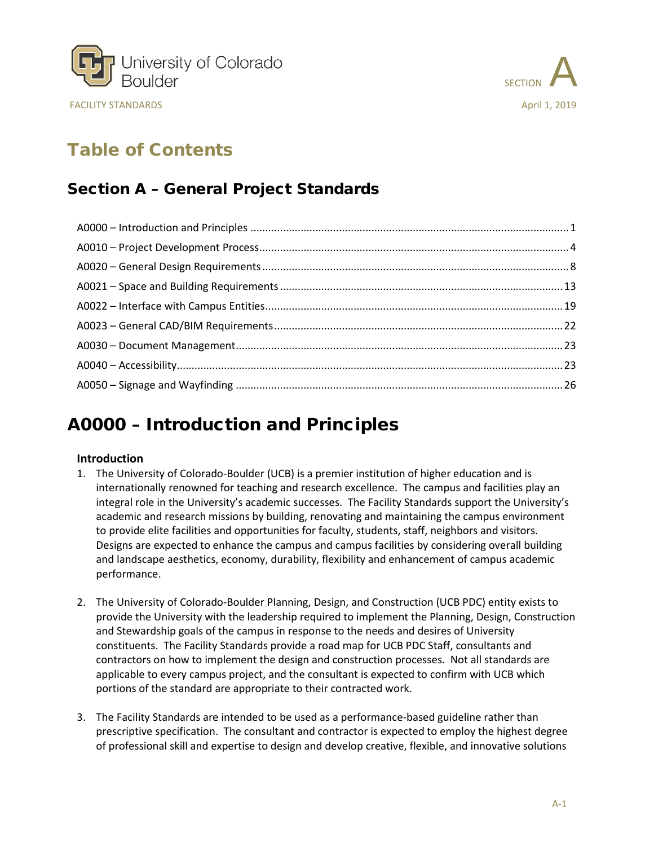



# Table of Contents

# Section A – General Project Standards

# <span id="page-0-0"></span>A0000 – Introduction and Principles

# **Introduction**

- 1. The University of Colorado-Boulder (UCB) is a premier institution of higher education and is internationally renowned for teaching and research excellence. The campus and facilities play an integral role in the University's academic successes. The Facility Standards support the University's academic and research missions by building, renovating and maintaining the campus environment to provide elite facilities and opportunities for faculty, students, staff, neighbors and visitors. Designs are expected to enhance the campus and campus facilities by considering overall building and landscape aesthetics, economy, durability, flexibility and enhancement of campus academic performance.
- 2. The University of Colorado-Boulder Planning, Design, and Construction (UCB PDC) entity exists to provide the University with the leadership required to implement the Planning, Design, Construction and Stewardship goals of the campus in response to the needs and desires of University constituents. The Facility Standards provide a road map for UCB PDC Staff, consultants and contractors on how to implement the design and construction processes. Not all standards are applicable to every campus project, and the consultant is expected to confirm with UCB which portions of the standard are appropriate to their contracted work.
- 3. The Facility Standards are intended to be used as a performance-based guideline rather than prescriptive specification. The consultant and contractor is expected to employ the highest degree of professional skill and expertise to design and develop creative, flexible, and innovative solutions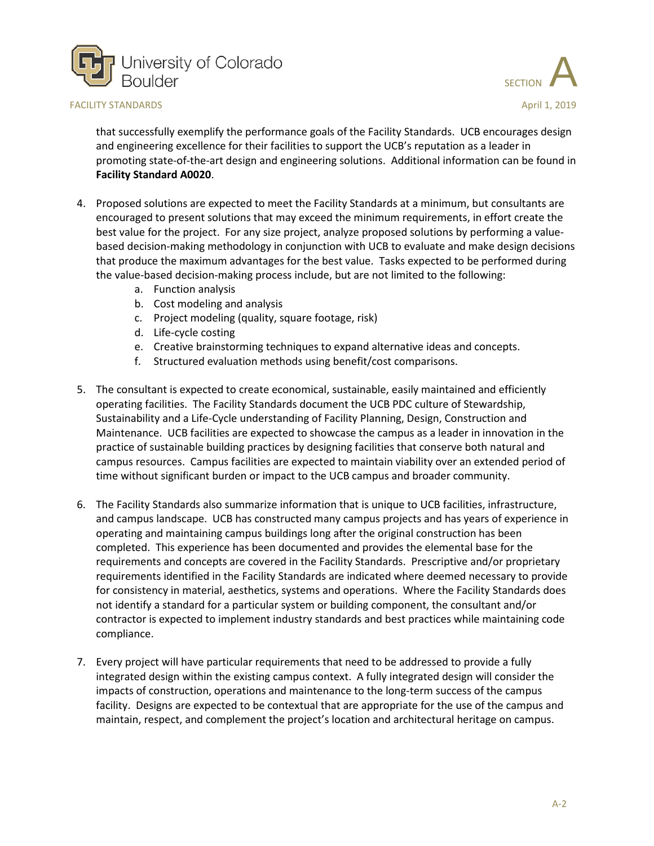



that successfully exemplify the performance goals of the Facility Standards. UCB encourages design and engineering excellence for their facilities to support the UCB's reputation as a leader in promoting state-of-the-art design and engineering solutions. Additional information can be found in **Facility Standard A0020**.

- 4. Proposed solutions are expected to meet the Facility Standards at a minimum, but consultants are encouraged to present solutions that may exceed the minimum requirements, in effort create the best value for the project. For any size project, analyze proposed solutions by performing a valuebased decision-making methodology in conjunction with UCB to evaluate and make design decisions that produce the maximum advantages for the best value. Tasks expected to be performed during the value-based decision-making process include, but are not limited to the following:
	- a. Function analysis
	- b. Cost modeling and analysis
	- c. Project modeling (quality, square footage, risk)
	- d. Life-cycle costing
	- e. Creative brainstorming techniques to expand alternative ideas and concepts.
	- f. Structured evaluation methods using benefit/cost comparisons.
- 5. The consultant is expected to create economical, sustainable, easily maintained and efficiently operating facilities. The Facility Standards document the UCB PDC culture of Stewardship, Sustainability and a Life-Cycle understanding of Facility Planning, Design, Construction and Maintenance. UCB facilities are expected to showcase the campus as a leader in innovation in the practice of sustainable building practices by designing facilities that conserve both natural and campus resources. Campus facilities are expected to maintain viability over an extended period of time without significant burden or impact to the UCB campus and broader community.
- 6. The Facility Standards also summarize information that is unique to UCB facilities, infrastructure, and campus landscape. UCB has constructed many campus projects and has years of experience in operating and maintaining campus buildings long after the original construction has been completed. This experience has been documented and provides the elemental base for the requirements and concepts are covered in the Facility Standards. Prescriptive and/or proprietary requirements identified in the Facility Standards are indicated where deemed necessary to provide for consistency in material, aesthetics, systems and operations. Where the Facility Standards does not identify a standard for a particular system or building component, the consultant and/or contractor is expected to implement industry standards and best practices while maintaining code compliance.
- 7. Every project will have particular requirements that need to be addressed to provide a fully integrated design within the existing campus context. A fully integrated design will consider the impacts of construction, operations and maintenance to the long-term success of the campus facility. Designs are expected to be contextual that are appropriate for the use of the campus and maintain, respect, and complement the project's location and architectural heritage on campus.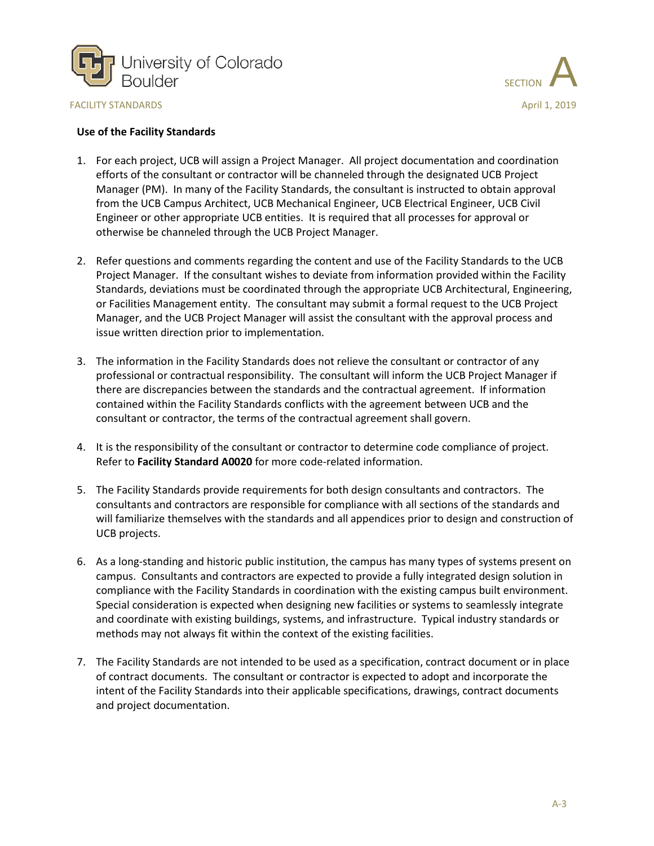



#### **Use of the Facility Standards**

- 1. For each project, UCB will assign a Project Manager. All project documentation and coordination efforts of the consultant or contractor will be channeled through the designated UCB Project Manager (PM). In many of the Facility Standards, the consultant is instructed to obtain approval from the UCB Campus Architect, UCB Mechanical Engineer, UCB Electrical Engineer, UCB Civil Engineer or other appropriate UCB entities. It is required that all processes for approval or otherwise be channeled through the UCB Project Manager.
- 2. Refer questions and comments regarding the content and use of the Facility Standards to the UCB Project Manager. If the consultant wishes to deviate from information provided within the Facility Standards, deviations must be coordinated through the appropriate UCB Architectural, Engineering, or Facilities Management entity. The consultant may submit a formal request to the UCB Project Manager, and the UCB Project Manager will assist the consultant with the approval process and issue written direction prior to implementation.
- 3. The information in the Facility Standards does not relieve the consultant or contractor of any professional or contractual responsibility. The consultant will inform the UCB Project Manager if there are discrepancies between the standards and the contractual agreement. If information contained within the Facility Standards conflicts with the agreement between UCB and the consultant or contractor, the terms of the contractual agreement shall govern.
- 4. It is the responsibility of the consultant or contractor to determine code compliance of project. Refer to **Facility Standard A0020** for more code-related information.
- 5. The Facility Standards provide requirements for both design consultants and contractors. The consultants and contractors are responsible for compliance with all sections of the standards and will familiarize themselves with the standards and all appendices prior to design and construction of UCB projects.
- 6. As a long-standing and historic public institution, the campus has many types of systems present on campus. Consultants and contractors are expected to provide a fully integrated design solution in compliance with the Facility Standards in coordination with the existing campus built environment. Special consideration is expected when designing new facilities or systems to seamlessly integrate and coordinate with existing buildings, systems, and infrastructure. Typical industry standards or methods may not always fit within the context of the existing facilities.
- 7. The Facility Standards are not intended to be used as a specification, contract document or in place of contract documents. The consultant or contractor is expected to adopt and incorporate the intent of the Facility Standards into their applicable specifications, drawings, contract documents and project documentation.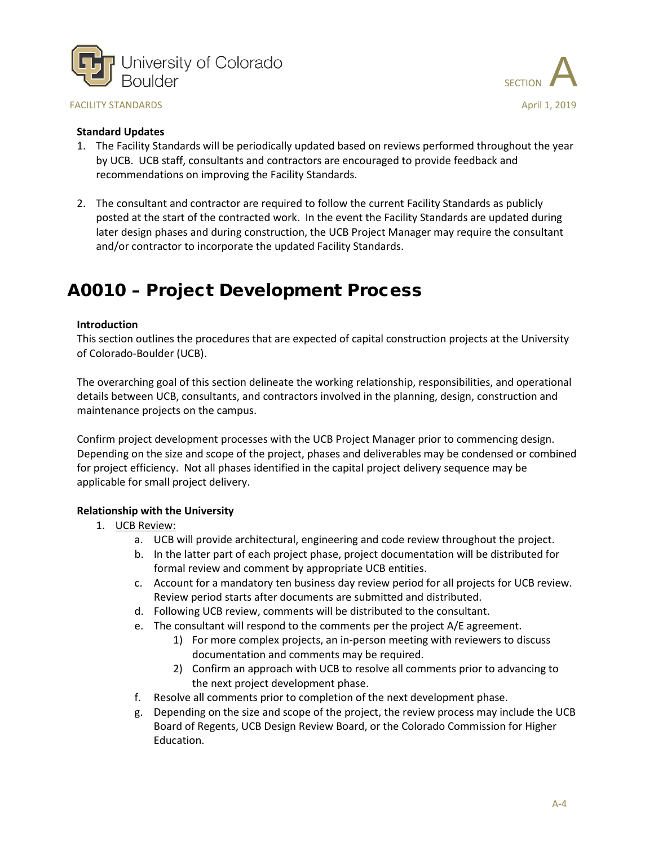



#### **Standard Updates**

- 1. The Facility Standards will be periodically updated based on reviews performed throughout the year by UCB. UCB staff, consultants and contractors are encouraged to provide feedback and recommendations on improving the Facility Standards.
- 2. The consultant and contractor are required to follow the current Facility Standards as publicly posted at the start of the contracted work. In the event the Facility Standards are updated during later design phases and during construction, the UCB Project Manager may require the consultant and/or contractor to incorporate the updated Facility Standards.

# <span id="page-3-0"></span>A0010 – Project Development Process

#### **Introduction**

This section outlines the procedures that are expected of capital construction projects at the University of Colorado-Boulder (UCB).

The overarching goal of this section delineate the working relationship, responsibilities, and operational details between UCB, consultants, and contractors involved in the planning, design, construction and maintenance projects on the campus.

Confirm project development processes with the UCB Project Manager prior to commencing design. Depending on the size and scope of the project, phases and deliverables may be condensed or combined for project efficiency. Not all phases identified in the capital project delivery sequence may be applicable for small project delivery.

## **Relationship with the University**

- 1. UCB Review:
	- a. UCB will provide architectural, engineering and code review throughout the project.
	- b. In the latter part of each project phase, project documentation will be distributed for formal review and comment by appropriate UCB entities.
	- c. Account for a mandatory ten business day review period for all projects for UCB review. Review period starts after documents are submitted and distributed.
	- d. Following UCB review, comments will be distributed to the consultant.
	- e. The consultant will respond to the comments per the project A/E agreement.
		- 1) For more complex projects, an in-person meeting with reviewers to discuss documentation and comments may be required.
		- 2) Confirm an approach with UCB to resolve all comments prior to advancing to the next project development phase.
	- f. Resolve all comments prior to completion of the next development phase.
	- g. Depending on the size and scope of the project, the review process may include the UCB Board of Regents, UCB Design Review Board, or the Colorado Commission for Higher Education.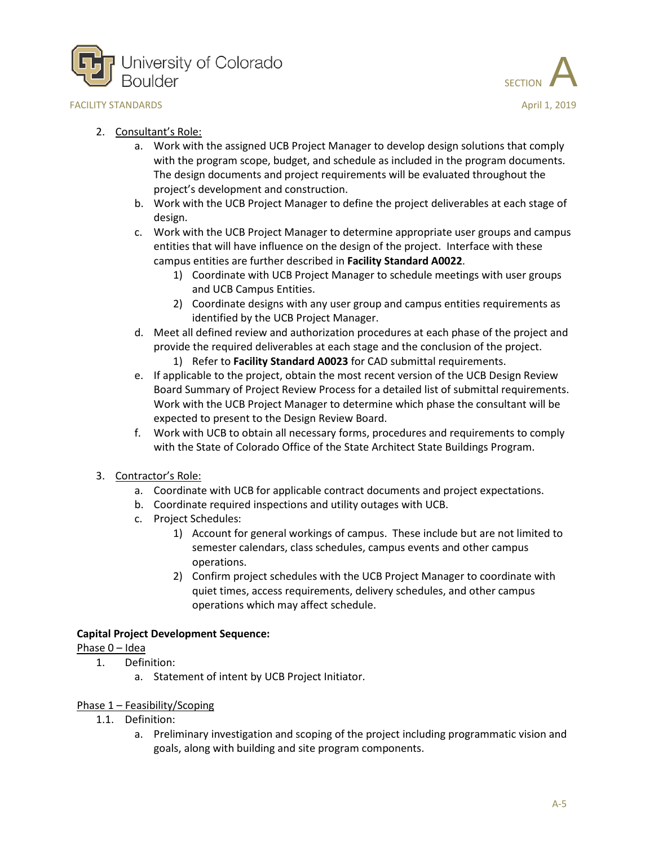



## 2. Consultant's Role:

- a. Work with the assigned UCB Project Manager to develop design solutions that comply with the program scope, budget, and schedule as included in the program documents. The design documents and project requirements will be evaluated throughout the project's development and construction.
- b. Work with the UCB Project Manager to define the project deliverables at each stage of design.
- c. Work with the UCB Project Manager to determine appropriate user groups and campus entities that will have influence on the design of the project. Interface with these campus entities are further described in **Facility Standard A0022**.
	- 1) Coordinate with UCB Project Manager to schedule meetings with user groups and UCB Campus Entities.
	- 2) Coordinate designs with any user group and campus entities requirements as identified by the UCB Project Manager.
- d. Meet all defined review and authorization procedures at each phase of the project and provide the required deliverables at each stage and the conclusion of the project.
	- 1) Refer to **Facility Standard A0023** for CAD submittal requirements.
- e. If applicable to the project, obtain the most recent version of the UCB Design Review Board Summary of Project Review Process for a detailed list of submittal requirements. Work with the UCB Project Manager to determine which phase the consultant will be expected to present to the Design Review Board.
- f. Work with UCB to obtain all necessary forms, procedures and requirements to comply with the State of Colorado Office of the State Architect State Buildings Program.
- 3. Contractor's Role:
	- a. Coordinate with UCB for applicable contract documents and project expectations.
	- b. Coordinate required inspections and utility outages with UCB.
	- c. Project Schedules:
		- 1) Account for general workings of campus. These include but are not limited to semester calendars, class schedules, campus events and other campus operations.
		- 2) Confirm project schedules with the UCB Project Manager to coordinate with quiet times, access requirements, delivery schedules, and other campus operations which may affect schedule.

## **Capital Project Development Sequence:**

# Phase 0 – Idea

- 1. Definition:
	- a. Statement of intent by UCB Project Initiator.

## Phase 1 – Feasibility/Scoping

- 1.1. Definition:
	- a. Preliminary investigation and scoping of the project including programmatic vision and goals, along with building and site program components.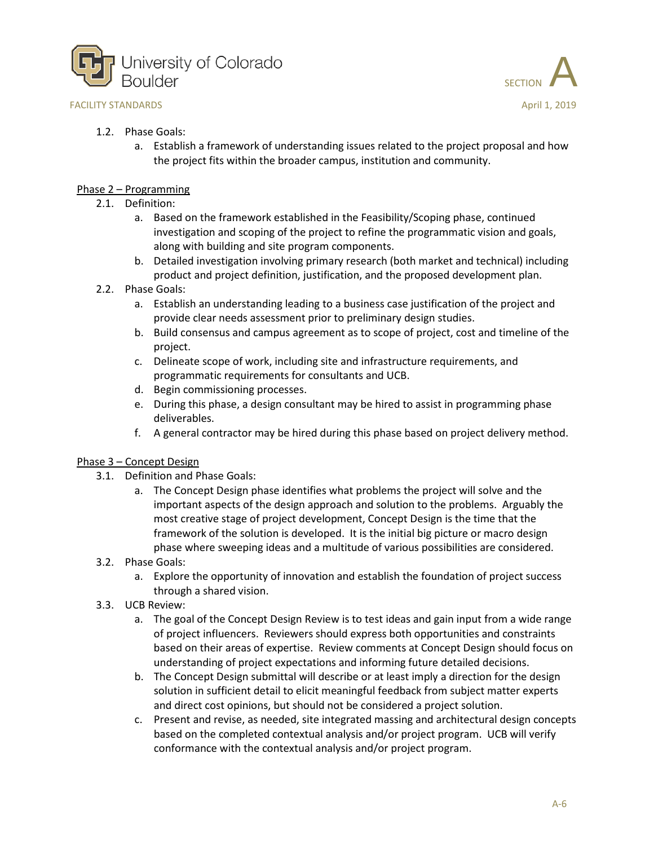



#### 1.2. Phase Goals:

a. Establish a framework of understanding issues related to the project proposal and how the project fits within the broader campus, institution and community.

## Phase 2 – Programming

- 2.1. Definition:
	- a. Based on the framework established in the Feasibility/Scoping phase, continued investigation and scoping of the project to refine the programmatic vision and goals, along with building and site program components.
	- b. Detailed investigation involving primary research (both market and technical) including product and project definition, justification, and the proposed development plan.
- 2.2. Phase Goals:
	- a. Establish an understanding leading to a business case justification of the project and provide clear needs assessment prior to preliminary design studies.
	- b. Build consensus and campus agreement as to scope of project, cost and timeline of the project.
	- c. Delineate scope of work, including site and infrastructure requirements, and programmatic requirements for consultants and UCB.
	- d. Begin commissioning processes.
	- e. During this phase, a design consultant may be hired to assist in programming phase deliverables.
	- f. A general contractor may be hired during this phase based on project delivery method.

## Phase 3 – Concept Design

- 3.1. Definition and Phase Goals:
	- a. The Concept Design phase identifies what problems the project will solve and the important aspects of the design approach and solution to the problems. Arguably the most creative stage of project development, Concept Design is the time that the framework of the solution is developed. It is the initial big picture or macro design phase where sweeping ideas and a multitude of various possibilities are considered.
- 3.2. Phase Goals:
	- a. Explore the opportunity of innovation and establish the foundation of project success through a shared vision.
- 3.3. UCB Review:
	- a. The goal of the Concept Design Review is to test ideas and gain input from a wide range of project influencers. Reviewers should express both opportunities and constraints based on their areas of expertise. Review comments at Concept Design should focus on understanding of project expectations and informing future detailed decisions.
	- b. The Concept Design submittal will describe or at least imply a direction for the design solution in sufficient detail to elicit meaningful feedback from subject matter experts and direct cost opinions, but should not be considered a project solution.
	- c. Present and revise, as needed, site integrated massing and architectural design concepts based on the completed contextual analysis and/or project program. UCB will verify conformance with the contextual analysis and/or project program.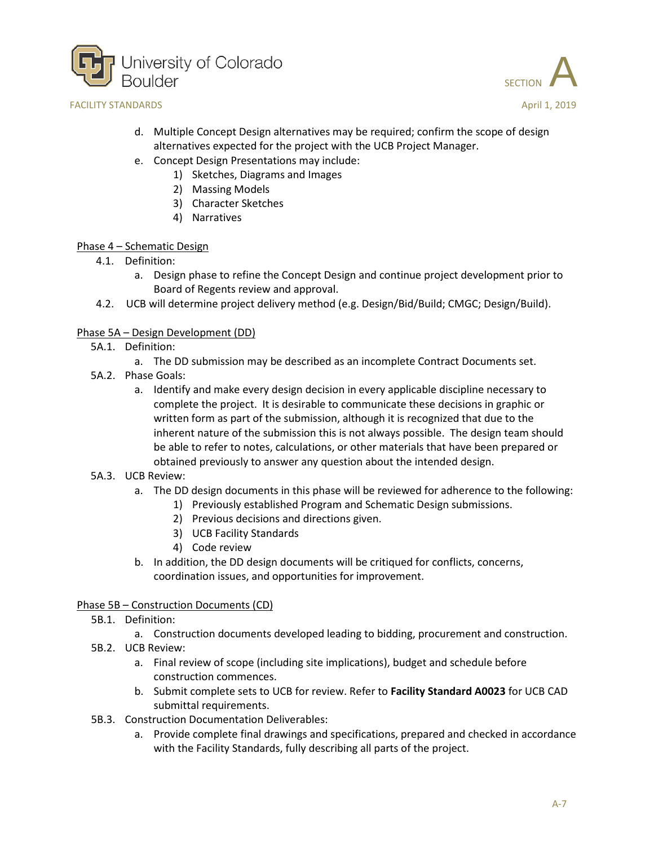



- d. Multiple Concept Design alternatives may be required; confirm the scope of design alternatives expected for the project with the UCB Project Manager.
- e. Concept Design Presentations may include:
	- 1) Sketches, Diagrams and Images
	- 2) Massing Models
	- 3) Character Sketches
	- 4) Narratives

## Phase 4 – Schematic Design

- 4.1. Definition:
	- a. Design phase to refine the Concept Design and continue project development prior to Board of Regents review and approval.
- 4.2. UCB will determine project delivery method (e.g. Design/Bid/Build; CMGC; Design/Build).

## Phase 5A – Design Development (DD)

- 5A.1. Definition:
	- a. The DD submission may be described as an incomplete Contract Documents set.
- 5A.2. Phase Goals:
	- a. Identify and make every design decision in every applicable discipline necessary to complete the project. It is desirable to communicate these decisions in graphic or written form as part of the submission, although it is recognized that due to the inherent nature of the submission this is not always possible. The design team should be able to refer to notes, calculations, or other materials that have been prepared or obtained previously to answer any question about the intended design.

## 5A.3. UCB Review:

- a. The DD design documents in this phase will be reviewed for adherence to the following:
	- 1) Previously established Program and Schematic Design submissions.
		- 2) Previous decisions and directions given.
		- 3) UCB Facility Standards
		- 4) Code review
- b. In addition, the DD design documents will be critiqued for conflicts, concerns, coordination issues, and opportunities for improvement.

# Phase 5B – Construction Documents (CD)

- 5B.1. Definition:
	- a. Construction documents developed leading to bidding, procurement and construction.
- 5B.2. UCB Review:
	- a. Final review of scope (including site implications), budget and schedule before construction commences.
	- b. Submit complete sets to UCB for review. Refer to **Facility Standard A0023** for UCB CAD submittal requirements.
- 5B.3. Construction Documentation Deliverables:
	- a. Provide complete final drawings and specifications, prepared and checked in accordance with the Facility Standards, fully describing all parts of the project.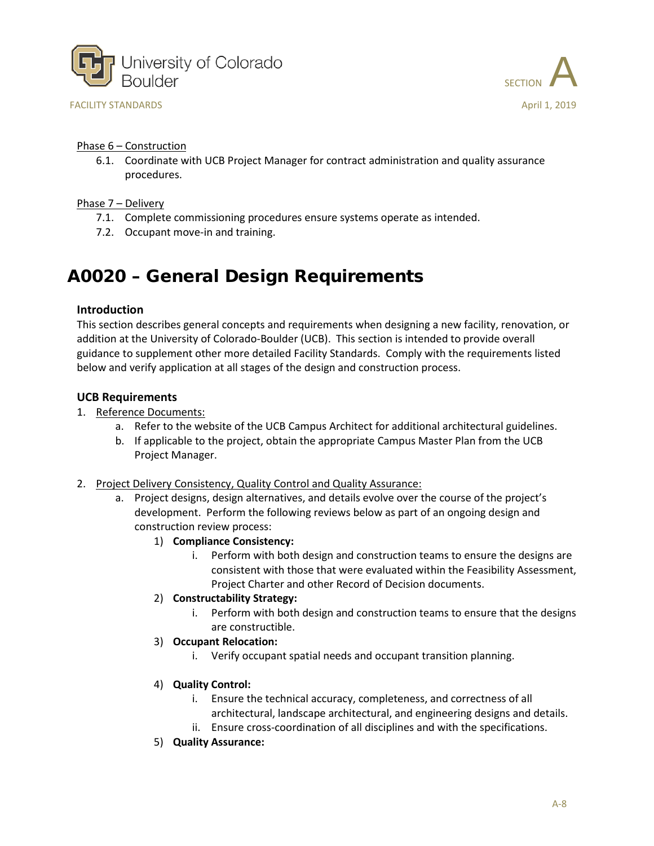



#### Phase 6 – Construction

6.1. Coordinate with UCB Project Manager for contract administration and quality assurance procedures.

#### Phase 7 – Delivery

- 7.1. Complete commissioning procedures ensure systems operate as intended.
- 7.2. Occupant move-in and training.

# <span id="page-7-0"></span>A0020 – General Design Requirements

#### **Introduction**

This section describes general concepts and requirements when designing a new facility, renovation, or addition at the University of Colorado-Boulder (UCB). This section is intended to provide overall guidance to supplement other more detailed Facility Standards. Comply with the requirements listed below and verify application at all stages of the design and construction process.

## **UCB Requirements**

- 1. Reference Documents:
	- a. Refer to the website of the UCB Campus Architect for additional architectural guidelines.
	- b. If applicable to the project, obtain the appropriate Campus Master Plan from the UCB Project Manager.
- 2. Project Delivery Consistency, Quality Control and Quality Assurance:
	- a. Project designs, design alternatives, and details evolve over the course of the project's development. Perform the following reviews below as part of an ongoing design and construction review process:
		- 1) **Compliance Consistency:**
			- i. Perform with both design and construction teams to ensure the designs are consistent with those that were evaluated within the Feasibility Assessment, Project Charter and other Record of Decision documents.
		- 2) **Constructability Strategy:**
			- i. Perform with both design and construction teams to ensure that the designs are constructible.
		- 3) **Occupant Relocation:**
			- i. Verify occupant spatial needs and occupant transition planning.
		- 4) **Quality Control:**
			- i. Ensure the technical accuracy, completeness, and correctness of all architectural, landscape architectural, and engineering designs and details.
			- ii. Ensure cross-coordination of all disciplines and with the specifications.
		- 5) **Quality Assurance:**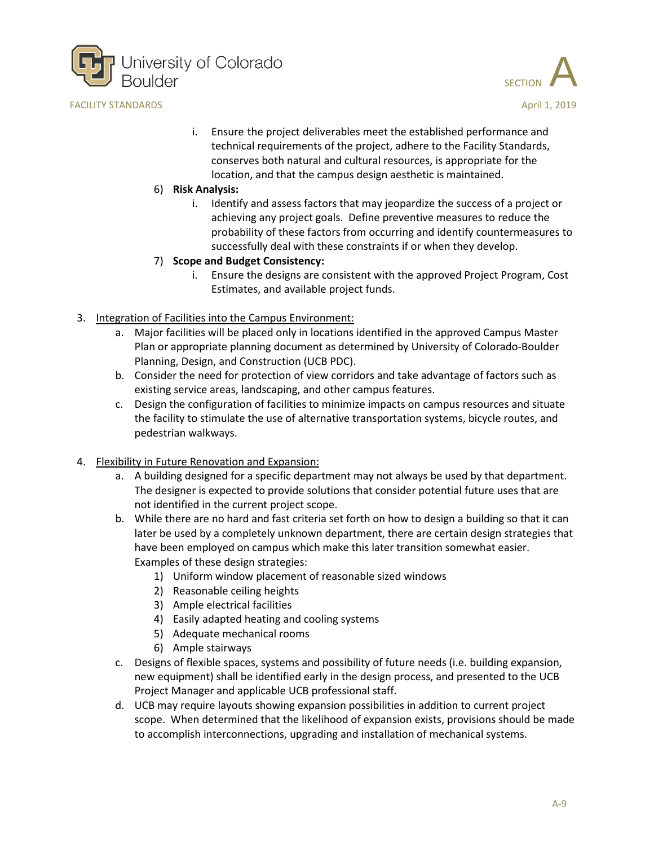



- i. Ensure the project deliverables meet the established performance and technical requirements of the project, adhere to the Facility Standards, conserves both natural and cultural resources, is appropriate for the location, and that the campus design aesthetic is maintained.
- 6) **Risk Analysis:**
	- i. Identify and assess factors that may jeopardize the success of a project or achieving any project goals. Define preventive measures to reduce the probability of these factors from occurring and identify countermeasures to successfully deal with these constraints if or when they develop.
- 7) **Scope and Budget Consistency:**
	- i. Ensure the designs are consistent with the approved Project Program, Cost Estimates, and available project funds.
- 3. Integration of Facilities into the Campus Environment:
	- a. Major facilities will be placed only in locations identified in the approved Campus Master Plan or appropriate planning document as determined by University of Colorado-Boulder Planning, Design, and Construction (UCB PDC).
	- b. Consider the need for protection of view corridors and take advantage of factors such as existing service areas, landscaping, and other campus features.
	- c. Design the configuration of facilities to minimize impacts on campus resources and situate the facility to stimulate the use of alternative transportation systems, bicycle routes, and pedestrian walkways.
- 4. Flexibility in Future Renovation and Expansion:
	- a. A building designed for a specific department may not always be used by that department. The designer is expected to provide solutions that consider potential future uses that are not identified in the current project scope.
	- b. While there are no hard and fast criteria set forth on how to design a building so that it can later be used by a completely unknown department, there are certain design strategies that have been employed on campus which make this later transition somewhat easier. Examples of these design strategies:
		- 1) Uniform window placement of reasonable sized windows
		- 2) Reasonable ceiling heights
		- 3) Ample electrical facilities
		- 4) Easily adapted heating and cooling systems
		- 5) Adequate mechanical rooms
		- 6) Ample stairways
	- c. Designs of flexible spaces, systems and possibility of future needs (i.e. building expansion, new equipment) shall be identified early in the design process, and presented to the UCB Project Manager and applicable UCB professional staff.
	- d. UCB may require layouts showing expansion possibilities in addition to current project scope. When determined that the likelihood of expansion exists, provisions should be made to accomplish interconnections, upgrading and installation of mechanical systems.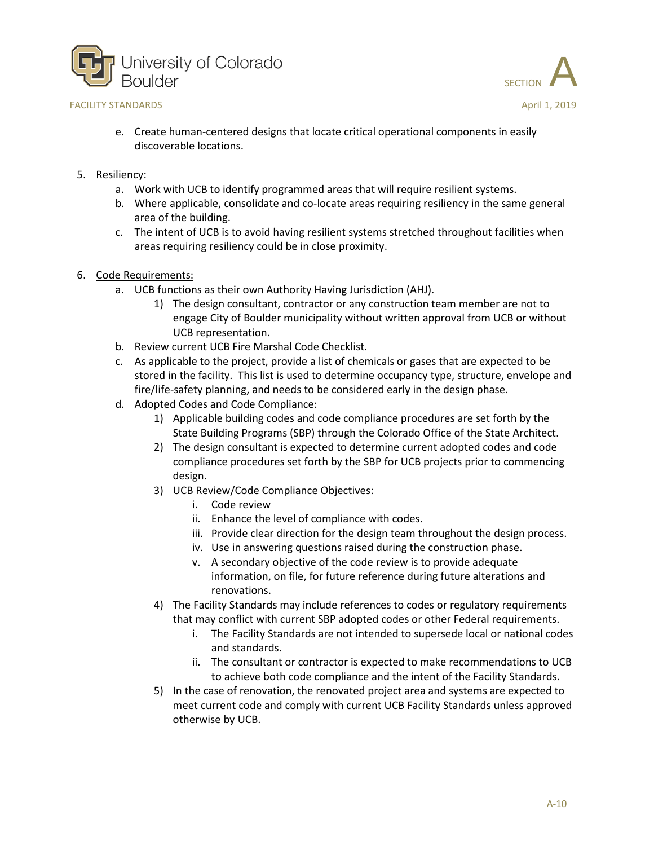



- e. Create human-centered designs that locate critical operational components in easily discoverable locations.
- 5. Resiliency:
	- a. Work with UCB to identify programmed areas that will require resilient systems.
	- b. Where applicable, consolidate and co-locate areas requiring resiliency in the same general area of the building.
	- c. The intent of UCB is to avoid having resilient systems stretched throughout facilities when areas requiring resiliency could be in close proximity.
- 6. Code Requirements:
	- a. UCB functions as their own Authority Having Jurisdiction (AHJ).
		- 1) The design consultant, contractor or any construction team member are not to engage City of Boulder municipality without written approval from UCB or without UCB representation.
	- b. Review current UCB Fire Marshal Code Checklist.
	- c. As applicable to the project, provide a list of chemicals or gases that are expected to be stored in the facility. This list is used to determine occupancy type, structure, envelope and fire/life-safety planning, and needs to be considered early in the design phase.
	- d. Adopted Codes and Code Compliance:
		- 1) Applicable building codes and code compliance procedures are set forth by the State Building Programs (SBP) through the Colorado Office of the State Architect.
		- 2) The design consultant is expected to determine current adopted codes and code compliance procedures set forth by the SBP for UCB projects prior to commencing design.
		- 3) UCB Review/Code Compliance Objectives:
			- i. Code review
			- ii. Enhance the level of compliance with codes.
			- iii. Provide clear direction for the design team throughout the design process.
			- iv. Use in answering questions raised during the construction phase.
			- v. A secondary objective of the code review is to provide adequate information, on file, for future reference during future alterations and renovations.
		- 4) The Facility Standards may include references to codes or regulatory requirements that may conflict with current SBP adopted codes or other Federal requirements.
			- i. The Facility Standards are not intended to supersede local or national codes and standards.
			- ii. The consultant or contractor is expected to make recommendations to UCB to achieve both code compliance and the intent of the Facility Standards.
		- 5) In the case of renovation, the renovated project area and systems are expected to meet current code and comply with current UCB Facility Standards unless approved otherwise by UCB.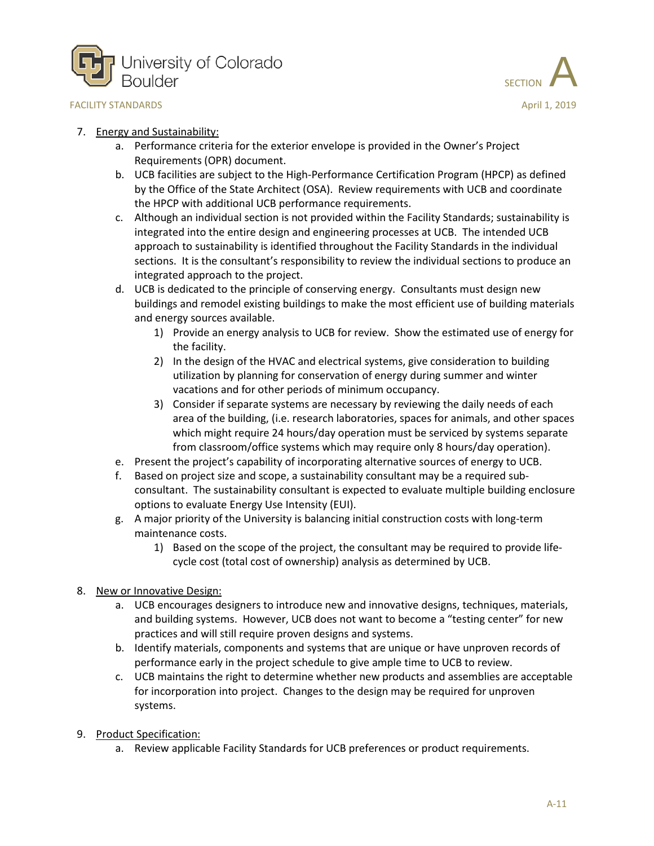



## 7. Energy and Sustainability:

- a. Performance criteria for the exterior envelope is provided in the Owner's Project Requirements (OPR) document.
- b. UCB facilities are subject to the High-Performance Certification Program (HPCP) as defined by the Office of the State Architect (OSA). Review requirements with UCB and coordinate the HPCP with additional UCB performance requirements.
- c. Although an individual section is not provided within the Facility Standards; sustainability is integrated into the entire design and engineering processes at UCB. The intended UCB approach to sustainability is identified throughout the Facility Standards in the individual sections. It is the consultant's responsibility to review the individual sections to produce an integrated approach to the project.
- d. UCB is dedicated to the principle of conserving energy. Consultants must design new buildings and remodel existing buildings to make the most efficient use of building materials and energy sources available.
	- 1) Provide an energy analysis to UCB for review. Show the estimated use of energy for the facility.
	- 2) In the design of the HVAC and electrical systems, give consideration to building utilization by planning for conservation of energy during summer and winter vacations and for other periods of minimum occupancy.
	- 3) Consider if separate systems are necessary by reviewing the daily needs of each area of the building, (i.e. research laboratories, spaces for animals, and other spaces which might require 24 hours/day operation must be serviced by systems separate from classroom/office systems which may require only 8 hours/day operation).
- e. Present the project's capability of incorporating alternative sources of energy to UCB.
- f. Based on project size and scope, a sustainability consultant may be a required subconsultant. The sustainability consultant is expected to evaluate multiple building enclosure options to evaluate Energy Use Intensity (EUI).
- g. A major priority of the University is balancing initial construction costs with long-term maintenance costs.
	- 1) Based on the scope of the project, the consultant may be required to provide lifecycle cost (total cost of ownership) analysis as determined by UCB.
- 8. New or Innovative Design:
	- a. UCB encourages designers to introduce new and innovative designs, techniques, materials, and building systems. However, UCB does not want to become a "testing center" for new practices and will still require proven designs and systems.
	- b. Identify materials, components and systems that are unique or have unproven records of performance early in the project schedule to give ample time to UCB to review.
	- c. UCB maintains the right to determine whether new products and assemblies are acceptable for incorporation into project. Changes to the design may be required for unproven systems.
- 9. Product Specification:
	- a. Review applicable Facility Standards for UCB preferences or product requirements.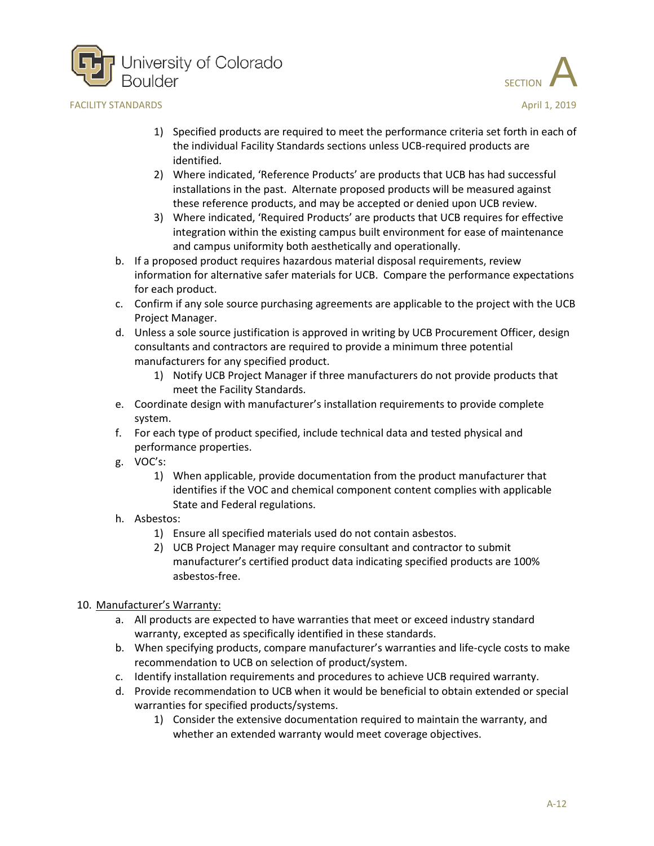



- 1) Specified products are required to meet the performance criteria set forth in each of the individual Facility Standards sections unless UCB-required products are identified.
- 2) Where indicated, 'Reference Products' are products that UCB has had successful installations in the past. Alternate proposed products will be measured against these reference products, and may be accepted or denied upon UCB review.
- 3) Where indicated, 'Required Products' are products that UCB requires for effective integration within the existing campus built environment for ease of maintenance and campus uniformity both aesthetically and operationally.
- b. If a proposed product requires hazardous material disposal requirements, review information for alternative safer materials for UCB. Compare the performance expectations for each product.
- c. Confirm if any sole source purchasing agreements are applicable to the project with the UCB Project Manager.
- d. Unless a sole source justification is approved in writing by UCB Procurement Officer, design consultants and contractors are required to provide a minimum three potential manufacturers for any specified product.
	- 1) Notify UCB Project Manager if three manufacturers do not provide products that meet the Facility Standards.
- e. Coordinate design with manufacturer's installation requirements to provide complete system.
- f. For each type of product specified, include technical data and tested physical and performance properties.
- g. VOC's:
	- 1) When applicable, provide documentation from the product manufacturer that identifies if the VOC and chemical component content complies with applicable State and Federal regulations.
- h. Asbestos:
	- 1) Ensure all specified materials used do not contain asbestos.
	- 2) UCB Project Manager may require consultant and contractor to submit manufacturer's certified product data indicating specified products are 100% asbestos-free.

# 10. Manufacturer's Warranty:

- a. All products are expected to have warranties that meet or exceed industry standard warranty, excepted as specifically identified in these standards.
- b. When specifying products, compare manufacturer's warranties and life-cycle costs to make recommendation to UCB on selection of product/system.
- c. Identify installation requirements and procedures to achieve UCB required warranty.
- d. Provide recommendation to UCB when it would be beneficial to obtain extended or special warranties for specified products/systems.
	- 1) Consider the extensive documentation required to maintain the warranty, and whether an extended warranty would meet coverage objectives.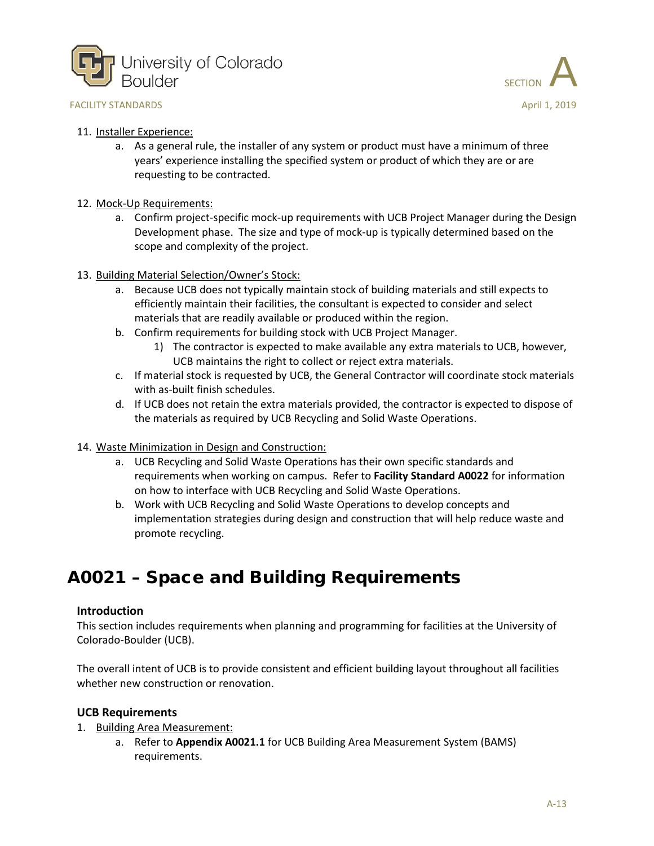



#### 11. Installer Experience:

- a. As a general rule, the installer of any system or product must have a minimum of three years' experience installing the specified system or product of which they are or are requesting to be contracted.
- 12. Mock-Up Requirements:
	- a. Confirm project-specific mock-up requirements with UCB Project Manager during the Design Development phase. The size and type of mock-up is typically determined based on the scope and complexity of the project.
- 13. Building Material Selection/Owner's Stock:
	- a. Because UCB does not typically maintain stock of building materials and still expects to efficiently maintain their facilities, the consultant is expected to consider and select materials that are readily available or produced within the region.
	- b. Confirm requirements for building stock with UCB Project Manager.
		- 1) The contractor is expected to make available any extra materials to UCB, however, UCB maintains the right to collect or reject extra materials.
	- c. If material stock is requested by UCB, the General Contractor will coordinate stock materials with as-built finish schedules.
	- d. If UCB does not retain the extra materials provided, the contractor is expected to dispose of the materials as required by UCB Recycling and Solid Waste Operations.

## 14. Waste Minimization in Design and Construction:

- a. UCB Recycling and Solid Waste Operations has their own specific standards and requirements when working on campus. Refer to **Facility Standard A0022** for information on how to interface with UCB Recycling and Solid Waste Operations.
- b. Work with UCB Recycling and Solid Waste Operations to develop concepts and implementation strategies during design and construction that will help reduce waste and promote recycling.

# <span id="page-12-0"></span>A0021 – Space and Building Requirements

## **Introduction**

This section includes requirements when planning and programming for facilities at the University of Colorado-Boulder (UCB).

The overall intent of UCB is to provide consistent and efficient building layout throughout all facilities whether new construction or renovation.

## **UCB Requirements**

- 1. Building Area Measurement:
	- a. Refer to **Appendix A0021.1** for UCB Building Area Measurement System (BAMS) requirements.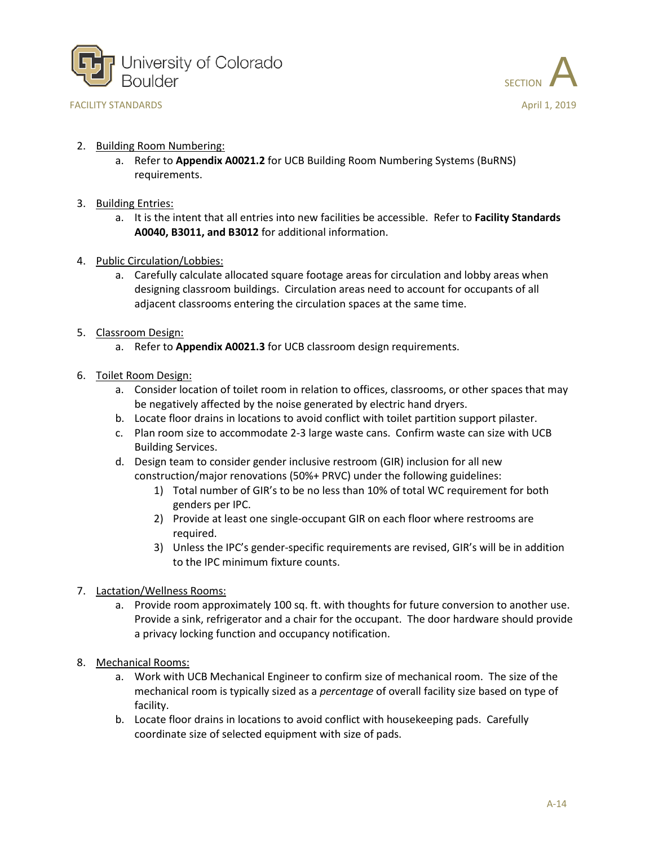



- 2. Building Room Numbering:
	- a. Refer to **Appendix A0021.2** for UCB Building Room Numbering Systems (BuRNS) requirements.
- 3. Building Entries:
	- a. It is the intent that all entries into new facilities be accessible. Refer to **Facility Standards A0040, B3011, and B3012** for additional information.
- 4. Public Circulation/Lobbies:
	- a. Carefully calculate allocated square footage areas for circulation and lobby areas when designing classroom buildings. Circulation areas need to account for occupants of all adjacent classrooms entering the circulation spaces at the same time.
- 5. Classroom Design:
	- a. Refer to **Appendix A0021.3** for UCB classroom design requirements.
- 6. Toilet Room Design:
	- a. Consider location of toilet room in relation to offices, classrooms, or other spaces that may be negatively affected by the noise generated by electric hand dryers.
	- b. Locate floor drains in locations to avoid conflict with toilet partition support pilaster.
	- c. Plan room size to accommodate 2-3 large waste cans. Confirm waste can size with UCB Building Services.
	- d. Design team to consider gender inclusive restroom (GIR) inclusion for all new construction/major renovations (50%+ PRVC) under the following guidelines:
		- 1) Total number of GIR's to be no less than 10% of total WC requirement for both genders per IPC.
		- 2) Provide at least one single-occupant GIR on each floor where restrooms are required.
		- 3) Unless the IPC's gender-specific requirements are revised, GIR's will be in addition to the IPC minimum fixture counts.
- 7. Lactation/Wellness Rooms:
	- a. Provide room approximately 100 sq. ft. with thoughts for future conversion to another use. Provide a sink, refrigerator and a chair for the occupant. The door hardware should provide a privacy locking function and occupancy notification.
- 8. Mechanical Rooms:
	- a. Work with UCB Mechanical Engineer to confirm size of mechanical room. The size of the mechanical room is typically sized as a *percentage* of overall facility size based on type of facility.
	- b. Locate floor drains in locations to avoid conflict with housekeeping pads. Carefully coordinate size of selected equipment with size of pads.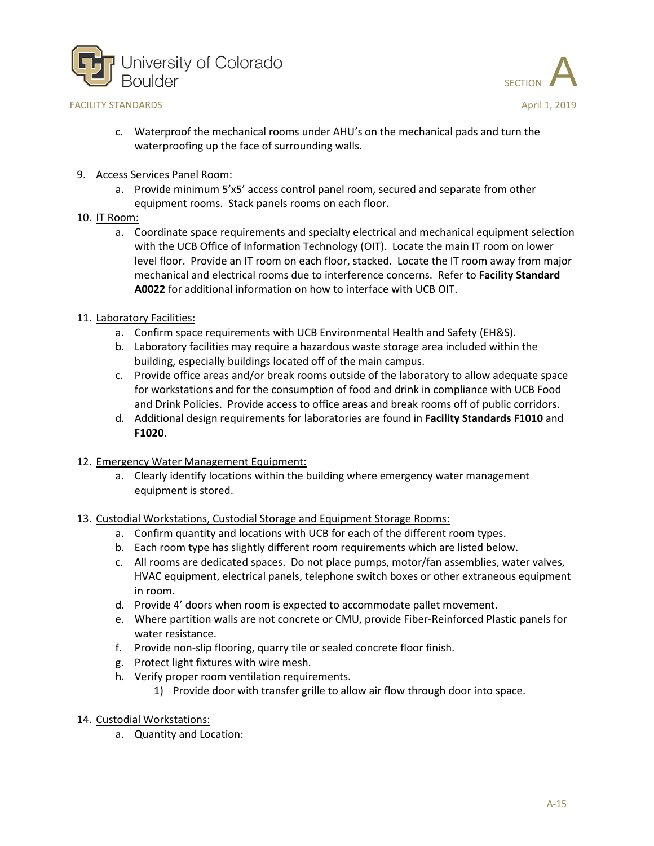



- c. Waterproof the mechanical rooms under AHU's on the mechanical pads and turn the waterproofing up the face of surrounding walls.
- 9. Access Services Panel Room:
	- a. Provide minimum 5'x5' access control panel room, secured and separate from other equipment rooms. Stack panels rooms on each floor.
- 10. IT Room:
	- a. Coordinate space requirements and specialty electrical and mechanical equipment selection with the UCB Office of Information Technology (OIT). Locate the main IT room on lower level floor. Provide an IT room on each floor, stacked. Locate the IT room away from major mechanical and electrical rooms due to interference concerns. Refer to **Facility Standard A0022** for additional information on how to interface with UCB OIT.
- 11. Laboratory Facilities:
	- a. Confirm space requirements with UCB Environmental Health and Safety (EH&S).
	- b. Laboratory facilities may require a hazardous waste storage area included within the building, especially buildings located off of the main campus.
	- c. Provide office areas and/or break rooms outside of the laboratory to allow adequate space for workstations and for the consumption of food and drink in compliance with UCB Food and Drink Policies. Provide access to office areas and break rooms off of public corridors.
	- d. Additional design requirements for laboratories are found in **Facility Standards F1010** and **F1020**.
- 12. Emergency Water Management Equipment:
	- a. Clearly identify locations within the building where emergency water management equipment is stored.
- 13. Custodial Workstations, Custodial Storage and Equipment Storage Rooms:
	- a. Confirm quantity and locations with UCB for each of the different room types.
	- b. Each room type has slightly different room requirements which are listed below.
	- c. All rooms are dedicated spaces. Do not place pumps, motor/fan assemblies, water valves, HVAC equipment, electrical panels, telephone switch boxes or other extraneous equipment in room.
	- d. Provide 4' doors when room is expected to accommodate pallet movement.
	- e. Where partition walls are not concrete or CMU, provide Fiber-Reinforced Plastic panels for water resistance.
	- f. Provide non-slip flooring, quarry tile or sealed concrete floor finish.
	- g. Protect light fixtures with wire mesh.
	- h. Verify proper room ventilation requirements.
		- 1) Provide door with transfer grille to allow air flow through door into space.
- 14. Custodial Workstations:
	- a. Quantity and Location: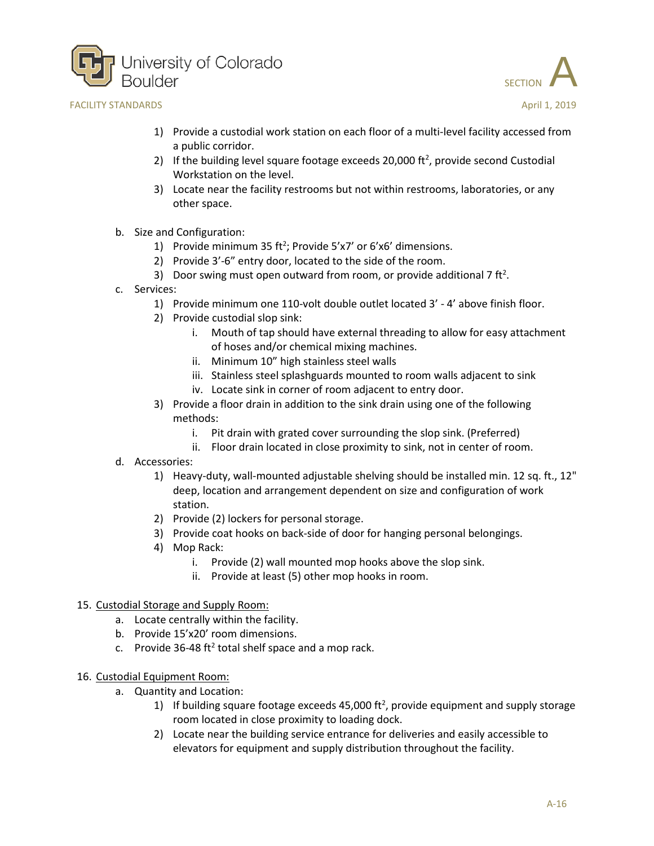



- 1) Provide a custodial work station on each floor of a multi-level facility accessed from a public corridor.
- 2) If the building level square footage exceeds 20,000 ft<sup>2</sup>, provide second Custodial Workstation on the level.
- 3) Locate near the facility restrooms but not within restrooms, laboratories, or any other space.
- b. Size and Configuration:
	- 1) Provide minimum 35 ft<sup>2</sup>; Provide 5'x7' or 6'x6' dimensions.
	- 2) Provide 3'-6" entry door, located to the side of the room.
	- 3) Door swing must open outward from room, or provide additional 7 ft<sup>2</sup>.
- c. Services:
	- 1) Provide minimum one 110-volt double outlet located 3' 4' above finish floor.
	- 2) Provide custodial slop sink:
		- i. Mouth of tap should have external threading to allow for easy attachment of hoses and/or chemical mixing machines.
		- ii. Minimum 10" high stainless steel walls
		- iii. Stainless steel splashguards mounted to room walls adjacent to sink
		- iv. Locate sink in corner of room adjacent to entry door.
	- 3) Provide a floor drain in addition to the sink drain using one of the following methods:
		- i. Pit drain with grated cover surrounding the slop sink. (Preferred)
		- ii. Floor drain located in close proximity to sink, not in center of room.
- d. Accessories:
	- 1) Heavy-duty, wall-mounted adjustable shelving should be installed min. 12 sq. ft., 12" deep, location and arrangement dependent on size and configuration of work station.
	- 2) Provide (2) lockers for personal storage.
	- 3) Provide coat hooks on back-side of door for hanging personal belongings.
	- 4) Mop Rack:
		- i. Provide (2) wall mounted mop hooks above the slop sink.
			- ii. Provide at least (5) other mop hooks in room.

## 15. Custodial Storage and Supply Room:

- a. Locate centrally within the facility.
- b. Provide 15'x20' room dimensions.
- c. Provide  $36-48$  ft<sup>2</sup> total shelf space and a mop rack.

## 16. Custodial Equipment Room:

- a. Quantity and Location:
	- 1) If building square footage exceeds  $45,000$  ft<sup>2</sup>, provide equipment and supply storage room located in close proximity to loading dock.
	- 2) Locate near the building service entrance for deliveries and easily accessible to elevators for equipment and supply distribution throughout the facility.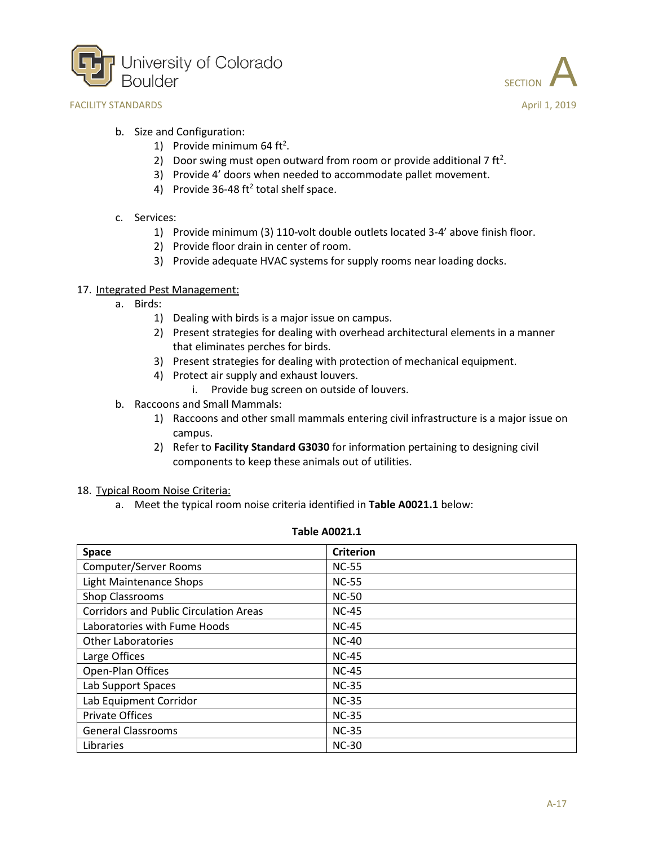



- b. Size and Configuration:
	- 1) Provide minimum 64 ft<sup>2</sup>.
	- 2) Door swing must open outward from room or provide additional 7 ft<sup>2</sup>.
	- 3) Provide 4' doors when needed to accommodate pallet movement.
	- 4) Provide 36-48 ft<sup>2</sup> total shelf space.
- c. Services:
	- 1) Provide minimum (3) 110-volt double outlets located 3-4' above finish floor.
	- 2) Provide floor drain in center of room.
	- 3) Provide adequate HVAC systems for supply rooms near loading docks.

## 17. Integrated Pest Management:

- a. Birds:
	- 1) Dealing with birds is a major issue on campus.
	- 2) Present strategies for dealing with overhead architectural elements in a manner that eliminates perches for birds.
	- 3) Present strategies for dealing with protection of mechanical equipment.
	- 4) Protect air supply and exhaust louvers.
		- i. Provide bug screen on outside of louvers.
- b. Raccoons and Small Mammals:
	- 1) Raccoons and other small mammals entering civil infrastructure is a major issue on campus.
	- 2) Refer to **Facility Standard G3030** for information pertaining to designing civil components to keep these animals out of utilities.

## 18. Typical Room Noise Criteria:

a. Meet the typical room noise criteria identified in **Table A0021.1** below:

## **Table A0021.1**

| Space                                         | <b>Criterion</b> |
|-----------------------------------------------|------------------|
| Computer/Server Rooms                         | <b>NC-55</b>     |
| <b>Light Maintenance Shops</b>                | <b>NC-55</b>     |
| Shop Classrooms                               | <b>NC-50</b>     |
| <b>Corridors and Public Circulation Areas</b> | <b>NC-45</b>     |
| Laboratories with Fume Hoods                  | <b>NC-45</b>     |
| <b>Other Laboratories</b>                     | $NC-40$          |
| Large Offices                                 | <b>NC-45</b>     |
| Open-Plan Offices                             | <b>NC-45</b>     |
| Lab Support Spaces                            | $NC-35$          |
| Lab Equipment Corridor                        | $NC-35$          |
| <b>Private Offices</b>                        | <b>NC-35</b>     |
| <b>General Classrooms</b>                     | <b>NC-35</b>     |
| Libraries                                     | <b>NC-30</b>     |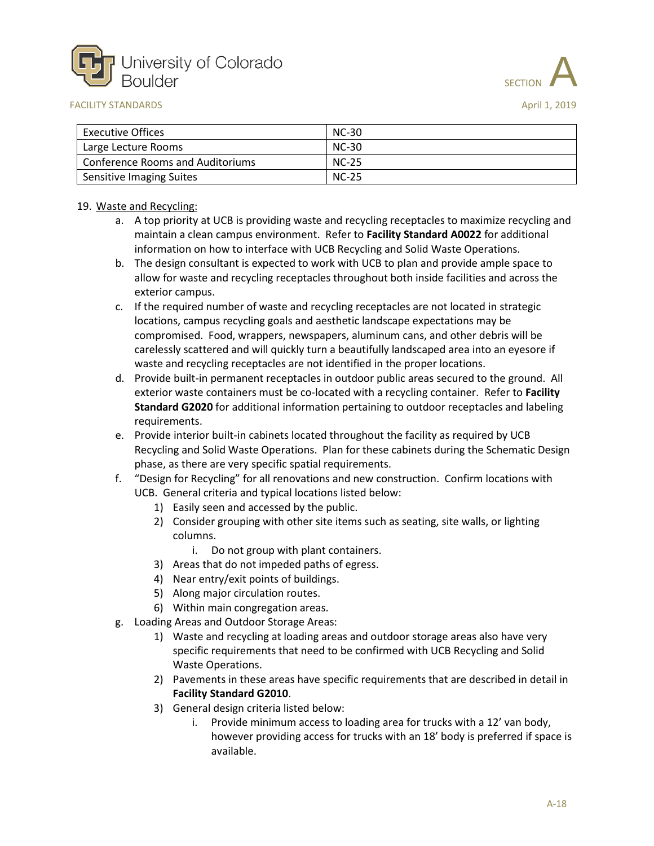



| <b>Executive Offices</b>                | <b>NC-30</b> |
|-----------------------------------------|--------------|
| Large Lecture Rooms                     | <b>NC-30</b> |
| <b>Conference Rooms and Auditoriums</b> | $NC-25$      |
| <b>Sensitive Imaging Suites</b>         | $NC-25$      |

## 19. Waste and Recycling:

- a. A top priority at UCB is providing waste and recycling receptacles to maximize recycling and maintain a clean campus environment. Refer to **Facility Standard A0022** for additional information on how to interface with UCB Recycling and Solid Waste Operations.
- b. The design consultant is expected to work with UCB to plan and provide ample space to allow for waste and recycling receptacles throughout both inside facilities and across the exterior campus.
- c. If the required number of waste and recycling receptacles are not located in strategic locations, campus recycling goals and aesthetic landscape expectations may be compromised. Food, wrappers, newspapers, aluminum cans, and other debris will be carelessly scattered and will quickly turn a beautifully landscaped area into an eyesore if waste and recycling receptacles are not identified in the proper locations.
- d. Provide built-in permanent receptacles in outdoor public areas secured to the ground. All exterior waste containers must be co-located with a recycling container. Refer to **Facility Standard G2020** for additional information pertaining to outdoor receptacles and labeling requirements.
- e. Provide interior built-in cabinets located throughout the facility as required by UCB Recycling and Solid Waste Operations. Plan for these cabinets during the Schematic Design phase, as there are very specific spatial requirements.
- f. "Design for Recycling" for all renovations and new construction. Confirm locations with UCB. General criteria and typical locations listed below:
	- 1) Easily seen and accessed by the public.
	- 2) Consider grouping with other site items such as seating, site walls, or lighting columns.
		- i. Do not group with plant containers.
	- 3) Areas that do not impeded paths of egress.
	- 4) Near entry/exit points of buildings.
	- 5) Along major circulation routes.
	- 6) Within main congregation areas.
- g. Loading Areas and Outdoor Storage Areas:
	- 1) Waste and recycling at loading areas and outdoor storage areas also have very specific requirements that need to be confirmed with UCB Recycling and Solid Waste Operations.
	- 2) Pavements in these areas have specific requirements that are described in detail in **Facility Standard G2010**.
	- 3) General design criteria listed below:
		- i. Provide minimum access to loading area for trucks with a 12' van body, however providing access for trucks with an 18' body is preferred if space is available.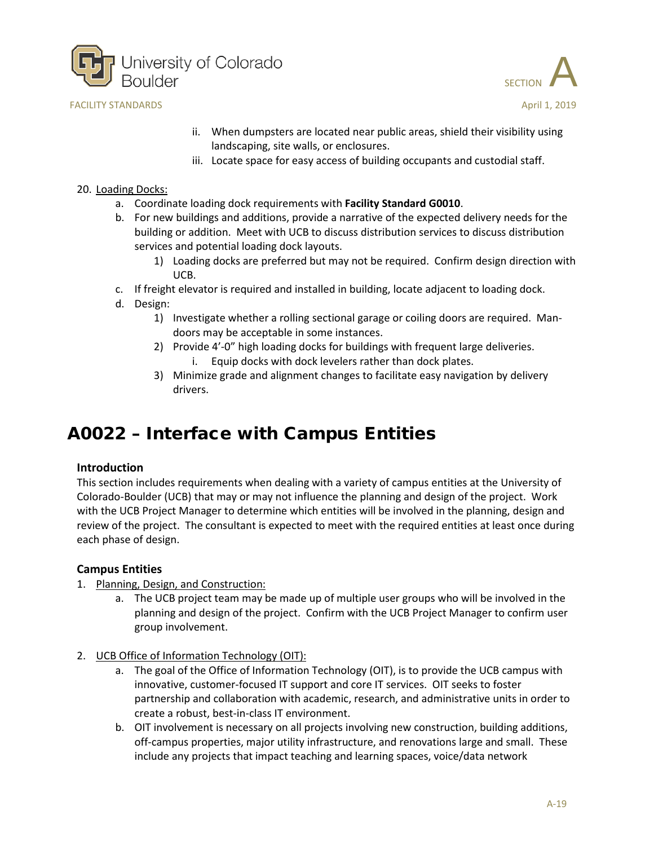





- ii. When dumpsters are located near public areas, shield their visibility using landscaping, site walls, or enclosures.
- iii. Locate space for easy access of building occupants and custodial staff.

## 20. Loading Docks:

- a. Coordinate loading dock requirements with **Facility Standard G0010**.
- b. For new buildings and additions, provide a narrative of the expected delivery needs for the building or addition. Meet with UCB to discuss distribution services to discuss distribution services and potential loading dock layouts.
	- 1) Loading docks are preferred but may not be required. Confirm design direction with UCB.
- c. If freight elevator is required and installed in building, locate adjacent to loading dock.
- d. Design:
	- 1) Investigate whether a rolling sectional garage or coiling doors are required. Mandoors may be acceptable in some instances.
	- 2) Provide 4'-0" high loading docks for buildings with frequent large deliveries.
		- i. Equip docks with dock levelers rather than dock plates.
	- 3) Minimize grade and alignment changes to facilitate easy navigation by delivery drivers.

# <span id="page-18-0"></span>A0022 – Interface with Campus Entities

# **Introduction**

This section includes requirements when dealing with a variety of campus entities at the University of Colorado-Boulder (UCB) that may or may not influence the planning and design of the project. Work with the UCB Project Manager to determine which entities will be involved in the planning, design and review of the project. The consultant is expected to meet with the required entities at least once during each phase of design.

# **Campus Entities**

- 1. Planning, Design, and Construction:
	- a. The UCB project team may be made up of multiple user groups who will be involved in the planning and design of the project. Confirm with the UCB Project Manager to confirm user group involvement.
- 2. UCB Office of Information Technology (OIT):
	- a. The goal of the Office of Information Technology (OIT), is to provide the UCB campus with innovative, customer-focused IT support and core IT services. OIT seeks to foster partnership and collaboration with academic, research, and administrative units in order to create a robust, best-in-class IT environment.
	- b. OIT involvement is necessary on all projects involving new construction, building additions, off-campus properties, major utility infrastructure, and renovations large and small. These include any projects that impact teaching and learning spaces, voice/data network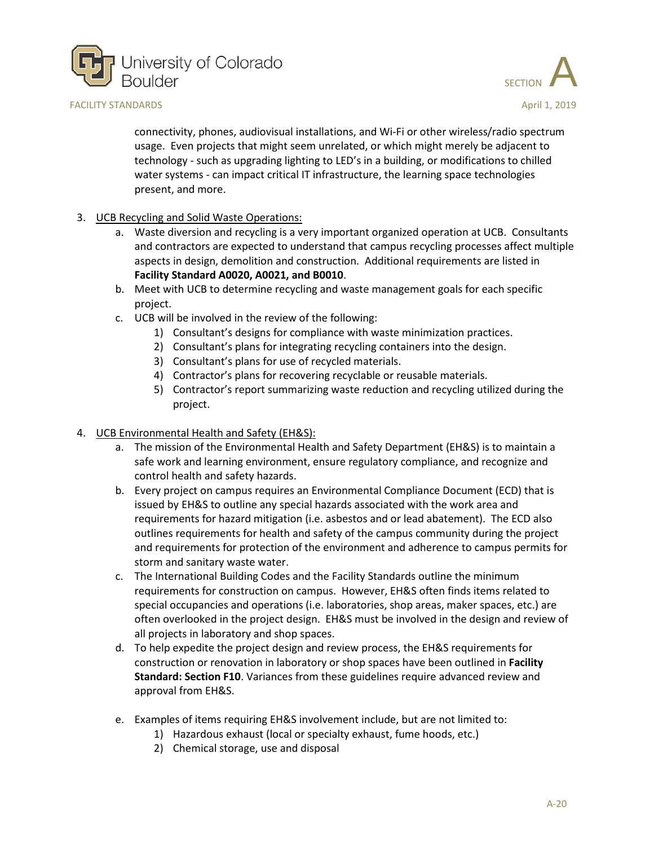



connectivity, phones, audiovisual installations, and Wi-Fi or other wireless/radio spectrum usage. Even projects that might seem unrelated, or which might merely be adjacent to technology - such as upgrading lighting to LED's in a building, or modifications to chilled water systems - can impact critical IT infrastructure, the learning space technologies present, and more.

- 3. UCB Recycling and Solid Waste Operations:
	- a. Waste diversion and recycling is a very important organized operation at UCB. Consultants and contractors are expected to understand that campus recycling processes affect multiple aspects in design, demolition and construction. Additional requirements are listed in **Facility Standard A0020, A0021, and B0010**.
	- b. Meet with UCB to determine recycling and waste management goals for each specific project.
	- c. UCB will be involved in the review of the following:
		- 1) Consultant's designs for compliance with waste minimization practices.
		- 2) Consultant's plans for integrating recycling containers into the design.
		- 3) Consultant's plans for use of recycled materials.
		- 4) Contractor's plans for recovering recyclable or reusable materials.
		- 5) Contractor's report summarizing waste reduction and recycling utilized during the project.

## 4. UCB Environmental Health and Safety (EH&S):

- a. The mission of the Environmental Health and Safety Department (EH&S) is to maintain a safe work and learning environment, ensure regulatory compliance, and recognize and control health and safety hazards.
- b. Every project on campus requires an Environmental Compliance Document (ECD) that is issued by EH&S to outline any special hazards associated with the work area and requirements for hazard mitigation (i.e. asbestos and or lead abatement). The ECD also outlines requirements for health and safety of the campus community during the project and requirements for protection of the environment and adherence to campus permits for storm and sanitary waste water.
- c. The International Building Codes and the Facility Standards outline the minimum requirements for construction on campus. However, EH&S often finds items related to special occupancies and operations (i.e. laboratories, shop areas, maker spaces, etc.) are often overlooked in the project design. EH&S must be involved in the design and review of all projects in laboratory and shop spaces.
- d. To help expedite the project design and review process, the EH&S requirements for construction or renovation in laboratory or shop spaces have been outlined in **Facility Standard: Section F10**. Variances from these guidelines require advanced review and approval from EH&S.
- e. Examples of items requiring EH&S involvement include, but are not limited to:
	- 1) Hazardous exhaust (local or specialty exhaust, fume hoods, etc.)
	- 2) Chemical storage, use and disposal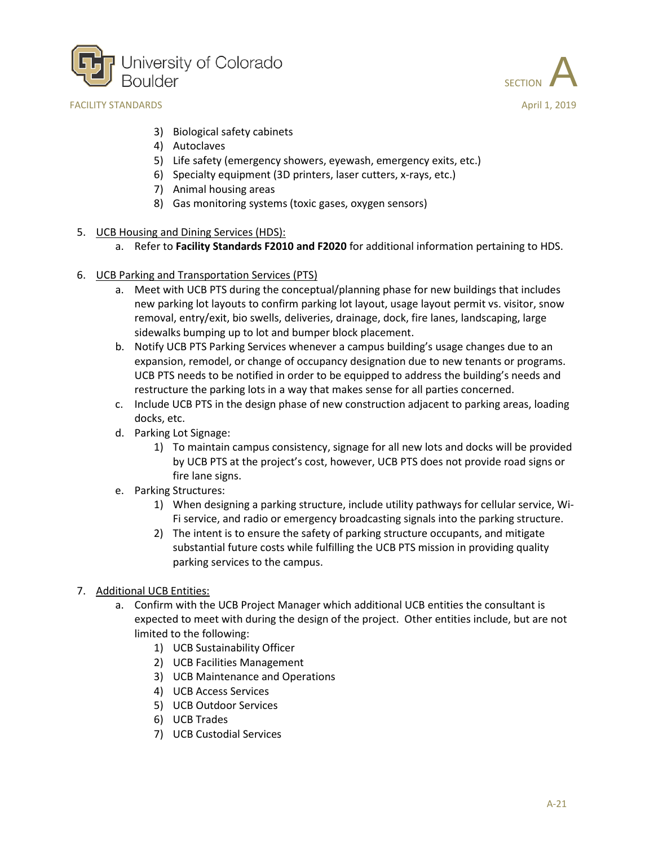





- 3) Biological safety cabinets
- 4) Autoclaves
- 5) Life safety (emergency showers, eyewash, emergency exits, etc.)
- 6) Specialty equipment (3D printers, laser cutters, x-rays, etc.)
- 7) Animal housing areas
- 8) Gas monitoring systems (toxic gases, oxygen sensors)
- 5. UCB Housing and Dining Services (HDS):
	- a. Refer to **Facility Standards F2010 and F2020** for additional information pertaining to HDS.
- 6. UCB Parking and Transportation Services (PTS)
	- a. Meet with UCB PTS during the conceptual/planning phase for new buildings that includes new parking lot layouts to confirm parking lot layout, usage layout permit vs. visitor, snow removal, entry/exit, bio swells, deliveries, drainage, dock, fire lanes, landscaping, large sidewalks bumping up to lot and bumper block placement.
	- b. Notify UCB PTS Parking Services whenever a campus building's usage changes due to an expansion, remodel, or change of occupancy designation due to new tenants or programs. UCB PTS needs to be notified in order to be equipped to address the building's needs and restructure the parking lots in a way that makes sense for all parties concerned.
	- c. Include UCB PTS in the design phase of new construction adjacent to parking areas, loading docks, etc.
	- d. Parking Lot Signage:
		- 1) To maintain campus consistency, signage for all new lots and docks will be provided by UCB PTS at the project's cost, however, UCB PTS does not provide road signs or fire lane signs.
	- e. Parking Structures:
		- 1) When designing a parking structure, include utility pathways for cellular service, Wi-Fi service, and radio or emergency broadcasting signals into the parking structure.
		- 2) The intent is to ensure the safety of parking structure occupants, and mitigate substantial future costs while fulfilling the UCB PTS mission in providing quality parking services to the campus.
- 7. Additional UCB Entities:
	- a. Confirm with the UCB Project Manager which additional UCB entities the consultant is expected to meet with during the design of the project. Other entities include, but are not limited to the following:
		- 1) UCB Sustainability Officer
		- 2) UCB Facilities Management
		- 3) UCB Maintenance and Operations
		- 4) UCB Access Services
		- 5) UCB Outdoor Services
		- 6) UCB Trades
		- 7) UCB Custodial Services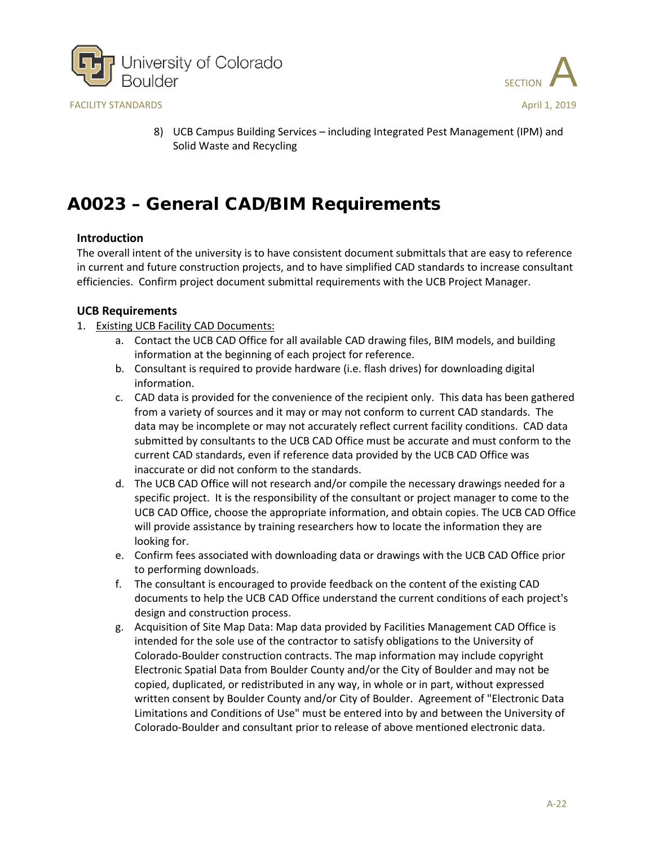



8) UCB Campus Building Services – including Integrated Pest Management (IPM) and Solid Waste and Recycling

# <span id="page-21-0"></span>A0023 – General CAD/BIM Requirements

## **Introduction**

The overall intent of the university is to have consistent document submittals that are easy to reference in current and future construction projects, and to have simplified CAD standards to increase consultant efficiencies. Confirm project document submittal requirements with the UCB Project Manager.

## **UCB Requirements**

- 1. Existing UCB Facility CAD Documents:
	- a. Contact the UCB CAD Office for all available CAD drawing files, BIM models, and building information at the beginning of each project for reference.
	- b. Consultant is required to provide hardware (i.e. flash drives) for downloading digital information.
	- c. CAD data is provided for the convenience of the recipient only. This data has been gathered from a variety of sources and it may or may not conform to current CAD standards. The data may be incomplete or may not accurately reflect current facility conditions. CAD data submitted by consultants to the UCB CAD Office must be accurate and must conform to the current CAD standards, even if reference data provided by the UCB CAD Office was inaccurate or did not conform to the standards.
	- d. The UCB CAD Office will not research and/or compile the necessary drawings needed for a specific project. It is the responsibility of the consultant or project manager to come to the UCB CAD Office, choose the appropriate information, and obtain copies. The UCB CAD Office will provide assistance by training researchers how to locate the information they are looking for.
	- e. Confirm fees associated with downloading data or drawings with the UCB CAD Office prior to performing downloads.
	- f. The consultant is encouraged to provide feedback on the content of the existing CAD documents to help the UCB CAD Office understand the current conditions of each project's design and construction process.
	- g. Acquisition of Site Map Data: Map data provided by Facilities Management CAD Office is intended for the sole use of the contractor to satisfy obligations to the University of Colorado-Boulder construction contracts. The map information may include copyright Electronic Spatial Data from Boulder County and/or the City of Boulder and may not be copied, duplicated, or redistributed in any way, in whole or in part, without expressed written consent by Boulder County and/or City of Boulder. Agreement of "Electronic Data Limitations and Conditions of Use" must be entered into by and between the University of Colorado-Boulder and consultant prior to release of above mentioned electronic data.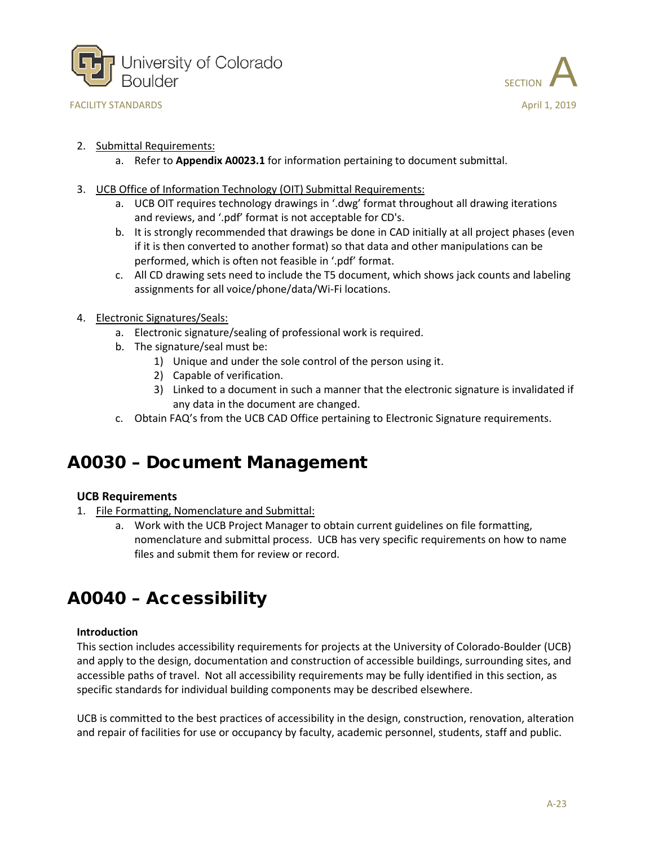



- 2. Submittal Requirements:
	- a. Refer to **Appendix A0023.1** for information pertaining to document submittal.
- 3. UCB Office of Information Technology (OIT) Submittal Requirements:
	- a. UCB OIT requires technology drawings in '.dwg' format throughout all drawing iterations and reviews, and '.pdf' format is not acceptable for CD's.
	- b. It is strongly recommended that drawings be done in CAD initially at all project phases (even if it is then converted to another format) so that data and other manipulations can be performed, which is often not feasible in '.pdf' format.
	- c. All CD drawing sets need to include the T5 document, which shows jack counts and labeling assignments for all voice/phone/data/Wi-Fi locations.
- 4. Electronic Signatures/Seals:
	- a. Electronic signature/sealing of professional work is required.
	- b. The signature/seal must be:
		- 1) Unique and under the sole control of the person using it.
		- 2) Capable of verification.
		- 3) Linked to a document in such a manner that the electronic signature is invalidated if any data in the document are changed.
	- c. Obtain FAQ's from the UCB CAD Office pertaining to Electronic Signature requirements.

# <span id="page-22-0"></span>A0030 – Document Management

# **UCB Requirements**

- 1. File Formatting, Nomenclature and Submittal:
	- a. Work with the UCB Project Manager to obtain current guidelines on file formatting, nomenclature and submittal process. UCB has very specific requirements on how to name files and submit them for review or record.

# <span id="page-22-1"></span>A0040 – Accessibility

## **Introduction**

This section includes accessibility requirements for projects at the University of Colorado-Boulder (UCB) and apply to the design, documentation and construction of accessible buildings, surrounding sites, and accessible paths of travel. Not all accessibility requirements may be fully identified in this section, as specific standards for individual building components may be described elsewhere.

UCB is committed to the best practices of accessibility in the design, construction, renovation, alteration and repair of facilities for use or occupancy by faculty, academic personnel, students, staff and public.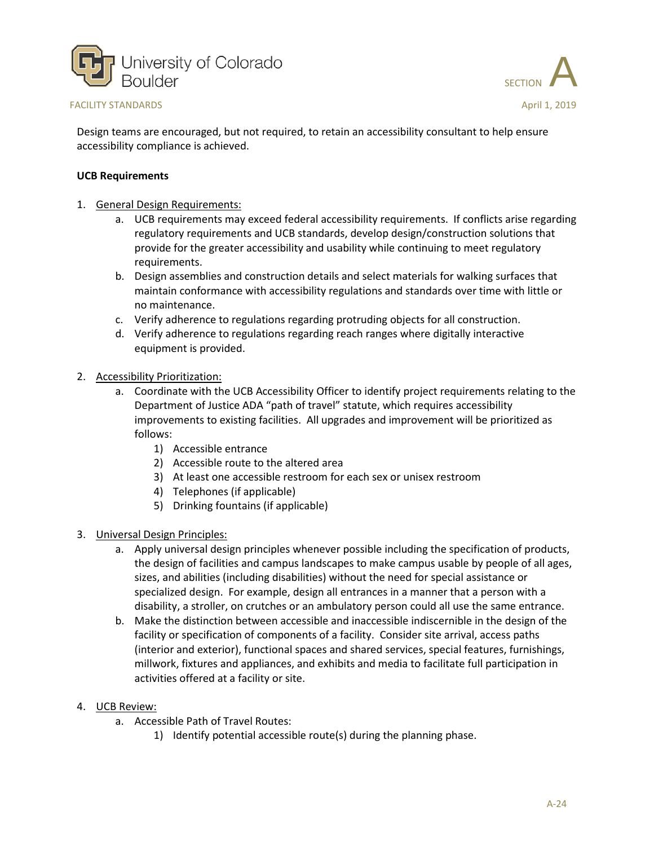



Design teams are encouraged, but not required, to retain an accessibility consultant to help ensure accessibility compliance is achieved.

#### **UCB Requirements**

- 1. General Design Requirements:
	- a. UCB requirements may exceed federal accessibility requirements. If conflicts arise regarding regulatory requirements and UCB standards, develop design/construction solutions that provide for the greater accessibility and usability while continuing to meet regulatory requirements.
	- b. Design assemblies and construction details and select materials for walking surfaces that maintain conformance with accessibility regulations and standards over time with little or no maintenance.
	- c. Verify adherence to regulations regarding protruding objects for all construction.
	- d. Verify adherence to regulations regarding reach ranges where digitally interactive equipment is provided.

#### 2. Accessibility Prioritization:

- a. Coordinate with the UCB Accessibility Officer to identify project requirements relating to the Department of Justice ADA "path of travel" statute, which requires accessibility improvements to existing facilities. All upgrades and improvement will be prioritized as follows:
	- 1) Accessible entrance
	- 2) Accessible route to the altered area
	- 3) At least one accessible restroom for each sex or unisex restroom
	- 4) Telephones (if applicable)
	- 5) Drinking fountains (if applicable)
- 3. Universal Design Principles:
	- a. Apply universal design principles whenever possible including the specification of products, the design of facilities and campus landscapes to make campus usable by people of all ages, sizes, and abilities (including disabilities) without the need for special assistance or specialized design. For example, design all entrances in a manner that a person with a disability, a stroller, on crutches or an ambulatory person could all use the same entrance.
	- b. Make the distinction between accessible and inaccessible indiscernible in the design of the facility or specification of components of a facility. Consider site arrival, access paths (interior and exterior), functional spaces and shared services, special features, furnishings, millwork, fixtures and appliances, and exhibits and media to facilitate full participation in activities offered at a facility or site.
- 4. UCB Review:
	- a. Accessible Path of Travel Routes:
		- 1) Identify potential accessible route(s) during the planning phase.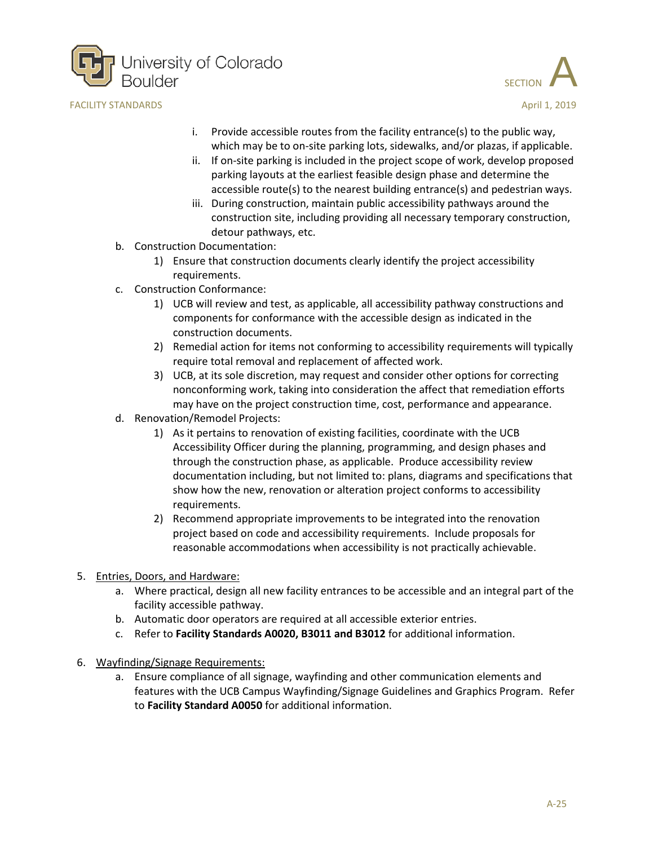



- i. Provide accessible routes from the facility entrance(s) to the public way, which may be to on-site parking lots, sidewalks, and/or plazas, if applicable.
- ii. If on-site parking is included in the project scope of work, develop proposed parking layouts at the earliest feasible design phase and determine the accessible route(s) to the nearest building entrance(s) and pedestrian ways.
- iii. During construction, maintain public accessibility pathways around the construction site, including providing all necessary temporary construction, detour pathways, etc.
- b. Construction Documentation:
	- 1) Ensure that construction documents clearly identify the project accessibility requirements.
- c. Construction Conformance:
	- 1) UCB will review and test, as applicable, all accessibility pathway constructions and components for conformance with the accessible design as indicated in the construction documents.
	- 2) Remedial action for items not conforming to accessibility requirements will typically require total removal and replacement of affected work.
	- 3) UCB, at its sole discretion, may request and consider other options for correcting nonconforming work, taking into consideration the affect that remediation efforts may have on the project construction time, cost, performance and appearance.
- d. Renovation/Remodel Projects:
	- 1) As it pertains to renovation of existing facilities, coordinate with the UCB Accessibility Officer during the planning, programming, and design phases and through the construction phase, as applicable. Produce accessibility review documentation including, but not limited to: plans, diagrams and specifications that show how the new, renovation or alteration project conforms to accessibility requirements.
	- 2) Recommend appropriate improvements to be integrated into the renovation project based on code and accessibility requirements. Include proposals for reasonable accommodations when accessibility is not practically achievable.
- 5. Entries, Doors, and Hardware:
	- a. Where practical, design all new facility entrances to be accessible and an integral part of the facility accessible pathway.
	- b. Automatic door operators are required at all accessible exterior entries.
	- c. Refer to **Facility Standards A0020, B3011 and B3012** for additional information.
- 6. Wayfinding/Signage Requirements:
	- a. Ensure compliance of all signage, wayfinding and other communication elements and features with the UCB Campus Wayfinding/Signage Guidelines and Graphics Program. Refer to **Facility Standard A0050** for additional information.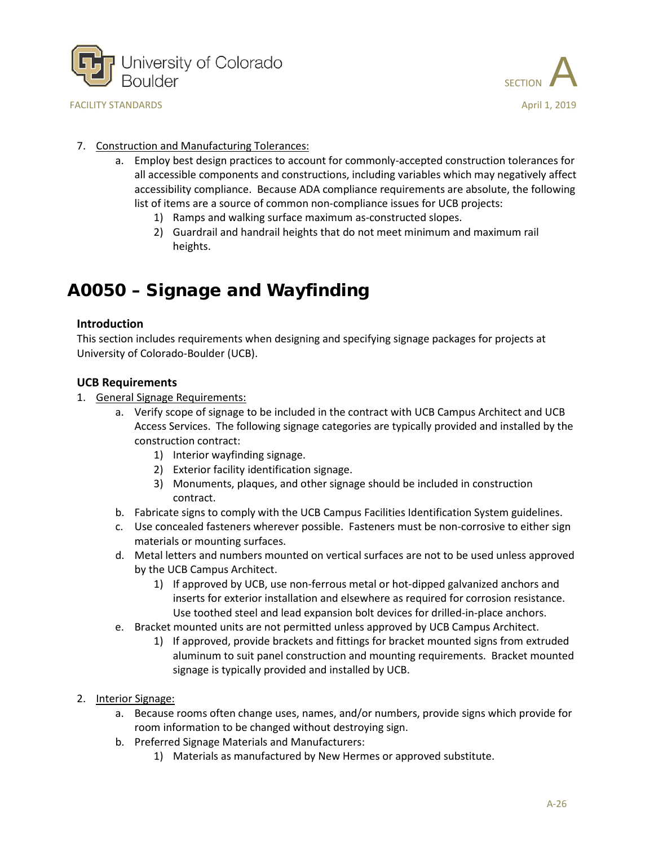





## 7. Construction and Manufacturing Tolerances:

- a. Employ best design practices to account for commonly-accepted construction tolerances for all accessible components and constructions, including variables which may negatively affect accessibility compliance. Because ADA compliance requirements are absolute, the following list of items are a source of common non-compliance issues for UCB projects:
	- 1) Ramps and walking surface maximum as-constructed slopes.
	- 2) Guardrail and handrail heights that do not meet minimum and maximum rail heights.

# <span id="page-25-0"></span>A0050 – Signage and Wayfinding

## **Introduction**

This section includes requirements when designing and specifying signage packages for projects at University of Colorado-Boulder (UCB).

## **UCB Requirements**

- 1. General Signage Requirements:
	- a. Verify scope of signage to be included in the contract with UCB Campus Architect and UCB Access Services. The following signage categories are typically provided and installed by the construction contract:
		- 1) Interior wayfinding signage.
		- 2) Exterior facility identification signage.
		- 3) Monuments, plaques, and other signage should be included in construction contract.
	- b. Fabricate signs to comply with the UCB Campus Facilities Identification System guidelines.
	- c. Use concealed fasteners wherever possible. Fasteners must be non-corrosive to either sign materials or mounting surfaces.
	- d. Metal letters and numbers mounted on vertical surfaces are not to be used unless approved by the UCB Campus Architect.
		- 1) If approved by UCB, use non-ferrous metal or hot-dipped galvanized anchors and inserts for exterior installation and elsewhere as required for corrosion resistance. Use toothed steel and lead expansion bolt devices for drilled-in-place anchors.
	- e. Bracket mounted units are not permitted unless approved by UCB Campus Architect.
		- 1) If approved, provide brackets and fittings for bracket mounted signs from extruded aluminum to suit panel construction and mounting requirements. Bracket mounted signage is typically provided and installed by UCB.
- 2. Interior Signage:
	- a. Because rooms often change uses, names, and/or numbers, provide signs which provide for room information to be changed without destroying sign.
	- b. Preferred Signage Materials and Manufacturers:
		- 1) Materials as manufactured by New Hermes or approved substitute.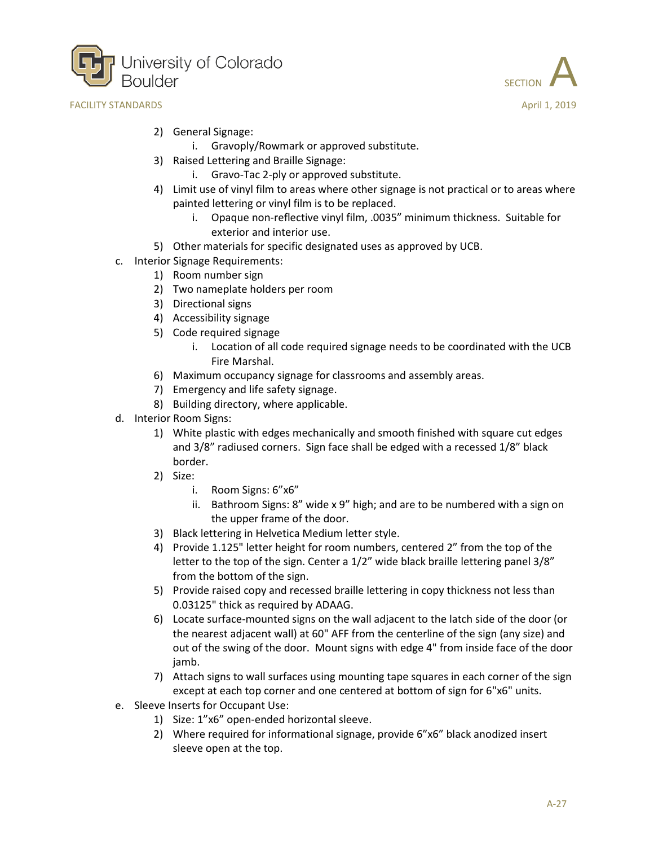



- 2) General Signage:
	- i. Gravoply/Rowmark or approved substitute.
- 3) Raised Lettering and Braille Signage:
	- i. Gravo-Tac 2-ply or approved substitute.
- 4) Limit use of vinyl film to areas where other signage is not practical or to areas where painted lettering or vinyl film is to be replaced.
	- i. Opaque non-reflective vinyl film, .0035" minimum thickness. Suitable for exterior and interior use.
- 5) Other materials for specific designated uses as approved by UCB.
- c. Interior Signage Requirements:
	- 1) Room number sign
		- 2) Two nameplate holders per room
		- 3) Directional signs
		- 4) Accessibility signage
		- 5) Code required signage
			- i. Location of all code required signage needs to be coordinated with the UCB Fire Marshal.
		- 6) Maximum occupancy signage for classrooms and assembly areas.
		- 7) Emergency and life safety signage.
		- 8) Building directory, where applicable.
- d. Interior Room Signs:
	- 1) White plastic with edges mechanically and smooth finished with square cut edges and 3/8" radiused corners. Sign face shall be edged with a recessed 1/8" black border.
	- 2) Size:
		- i. Room Signs: 6"x6"
		- ii. Bathroom Signs: 8" wide x 9" high; and are to be numbered with a sign on the upper frame of the door.
	- 3) Black lettering in Helvetica Medium letter style.
	- 4) Provide 1.125" letter height for room numbers, centered 2" from the top of the letter to the top of the sign. Center a 1/2" wide black braille lettering panel 3/8" from the bottom of the sign.
	- 5) Provide raised copy and recessed braille lettering in copy thickness not less than 0.03125" thick as required by ADAAG.
	- 6) Locate surface-mounted signs on the wall adjacent to the latch side of the door (or the nearest adjacent wall) at 60" AFF from the centerline of the sign (any size) and out of the swing of the door. Mount signs with edge 4" from inside face of the door jamb.
	- 7) Attach signs to wall surfaces using mounting tape squares in each corner of the sign except at each top corner and one centered at bottom of sign for 6"x6" units.
- e. Sleeve Inserts for Occupant Use:
	- 1) Size: 1"x6" open-ended horizontal sleeve.
	- 2) Where required for informational signage, provide 6"x6" black anodized insert sleeve open at the top.